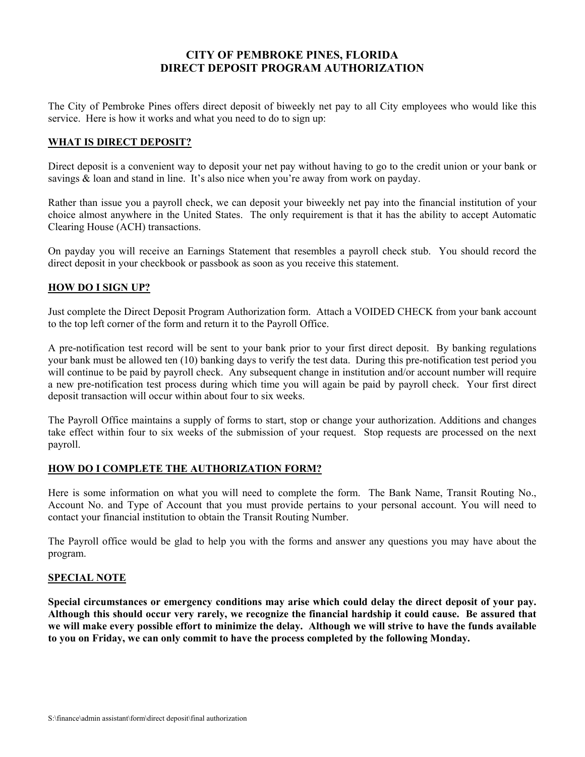# **CITY OF PEMBROKE PINES, FLORIDA DIRECT DEPOSIT PROGRAM AUTHORIZATION**

The City of Pembroke Pines offers direct deposit of biweekly net pay to all City employees who would like this service. Here is how it works and what you need to do to sign up:

## **WHAT IS DIRECT DEPOSIT?**

Direct deposit is a convenient way to deposit your net pay without having to go to the credit union or your bank or savings  $\&$  loan and stand in line. It's also nice when you're away from work on payday.

Rather than issue you a payroll check, we can deposit your biweekly net pay into the financial institution of your choice almost anywhere in the United States. The only requirement is that it has the ability to accept Automatic Clearing House (ACH) transactions.

On payday you will receive an Earnings Statement that resembles a payroll check stub. You should record the direct deposit in your checkbook or passbook as soon as you receive this statement.

## **HOW DO I SIGN UP?**

Just complete the Direct Deposit Program Authorization form. Attach a VOIDED CHECK from your bank account to the top left corner of the form and return it to the Payroll Office.

A pre-notification test record will be sent to your bank prior to your first direct deposit. By banking regulations your bank must be allowed ten (10) banking days to verify the test data. During this pre-notification test period you will continue to be paid by payroll check. Any subsequent change in institution and/or account number will require a new pre-notification test process during which time you will again be paid by payroll check. Your first direct deposit transaction will occur within about four to six weeks.

The Payroll Office maintains a supply of forms to start, stop or change your authorization. Additions and changes take effect within four to six weeks of the submission of your request. Stop requests are processed on the next payroll.

#### **HOW DO I COMPLETE THE AUTHORIZATION FORM?**

Here is some information on what you will need to complete the form. The Bank Name, Transit Routing No., Account No. and Type of Account that you must provide pertains to your personal account. You will need to contact your financial institution to obtain the Transit Routing Number.

The Payroll office would be glad to help you with the forms and answer any questions you may have about the program.

#### **SPECIAL NOTE**

**Special circumstances or emergency conditions may arise which could delay the direct deposit of your pay. Although this should occur very rarely, we recognize the financial hardship it could cause. Be assured that we will make every possible effort to minimize the delay. Although we will strive to have the funds available to you on Friday, we can only commit to have the process completed by the following Monday.**